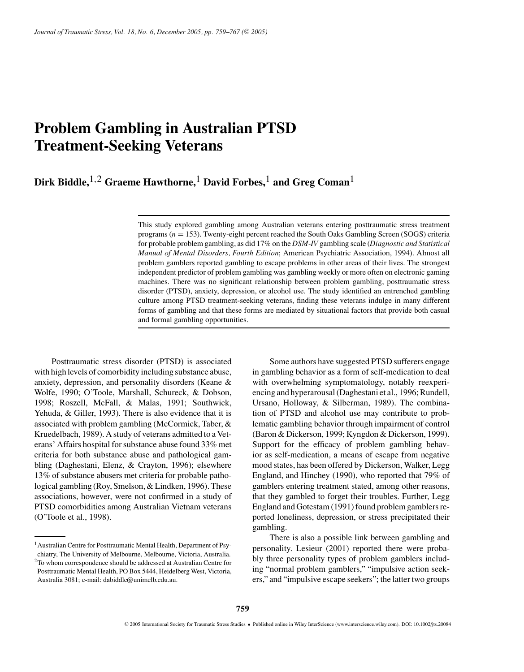# **Problem Gambling in Australian PTSD Treatment-Seeking Veterans**

**Dirk Biddle,**1*,*2 **Graeme Hawthorne,**1 **David Forbes,**1 **and Greg Coman**1

This study explored gambling among Australian veterans entering posttraumatic stress treatment programs (*n* = 153). Twenty-eight percent reached the South Oaks Gambling Screen (SOGS) criteria for probable problem gambling, as did 17% on the *DSM-IV* gambling scale (*Diagnostic and Statistical Manual of Mental Disorders, Fourth Edition*; American Psychiatric Association, 1994). Almost all problem gamblers reported gambling to escape problems in other areas of their lives. The strongest independent predictor of problem gambling was gambling weekly or more often on electronic gaming machines. There was no significant relationship between problem gambling, posttraumatic stress disorder (PTSD), anxiety, depression, or alcohol use. The study identified an entrenched gambling culture among PTSD treatment-seeking veterans, finding these veterans indulge in many different forms of gambling and that these forms are mediated by situational factors that provide both casual and formal gambling opportunities.

Posttraumatic stress disorder (PTSD) is associated with high levels of comorbidity including substance abuse, anxiety, depression, and personality disorders (Keane & Wolfe, 1990; O'Toole, Marshall, Schureck, & Dobson, 1998; Roszell, McFall, & Malas, 1991; Southwick, Yehuda, & Giller, 1993). There is also evidence that it is associated with problem gambling (McCormick, Taber, & Kruedelbach, 1989). A study of veterans admitted to a Veterans' Affairs hospital for substance abuse found 33% met criteria for both substance abuse and pathological gambling (Daghestani, Elenz, & Crayton, 1996); elsewhere 13% of substance abusers met criteria for probable pathological gambling (Roy, Smelson, & Lindken, 1996). These associations, however, were not confirmed in a study of PTSD comorbidities among Australian Vietnam veterans (O'Toole et al., 1998).

Some authors have suggested PTSD sufferers engage in gambling behavior as a form of self-medication to deal with overwhelming symptomatology, notably reexperiencing and hyperarousal (Daghestani et al., 1996; Rundell, Ursano, Holloway, & Silberman, 1989). The combination of PTSD and alcohol use may contribute to problematic gambling behavior through impairment of control (Baron & Dickerson, 1999; Kyngdon & Dickerson, 1999). Support for the efficacy of problem gambling behavior as self-medication, a means of escape from negative mood states, has been offered by Dickerson, Walker, Legg England, and Hinchey (1990), who reported that 79% of gamblers entering treatment stated, among other reasons, that they gambled to forget their troubles. Further, Legg England and Gotestam (1991) found problem gamblers reported loneliness, depression, or stress precipitated their gambling.

There is also a possible link between gambling and personality. Lesieur (2001) reported there were probably three personality types of problem gamblers including "normal problem gamblers," "impulsive action seekers," and "impulsive escape seekers"; the latter two groups

<sup>&</sup>lt;sup>1</sup> Australian Centre for Posttraumatic Mental Health, Department of Psychiatry, The University of Melbourne, Melbourne, Victoria, Australia.

<sup>2</sup>To whom correspondence should be addressed at Australian Centre for Posttraumatic Mental Health, PO Box 5444, Heidelberg West, Victoria, Australia 3081; e-mail: dabiddle@unimelb.edu.au.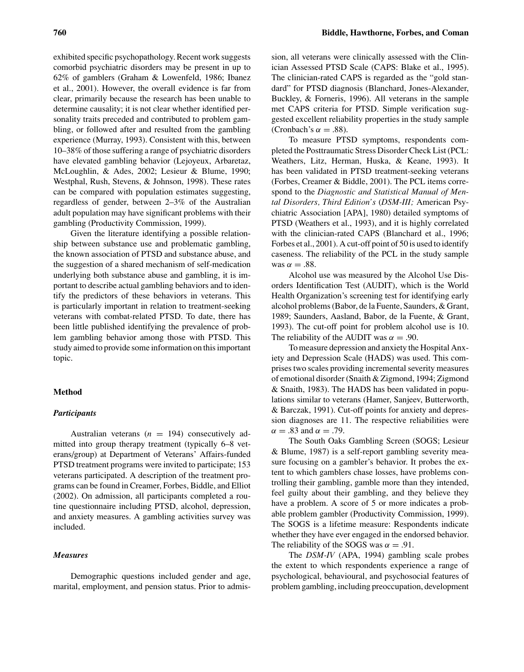exhibited specific psychopathology. Recent work suggests comorbid psychiatric disorders may be present in up to 62% of gamblers (Graham & Lowenfeld, 1986; Ibanez et al., 2001). However, the overall evidence is far from clear, primarily because the research has been unable to determine causality; it is not clear whether identified personality traits preceded and contributed to problem gambling, or followed after and resulted from the gambling experience (Murray, 1993). Consistent with this, between 10–38% of those suffering a range of psychiatric disorders have elevated gambling behavior (Lejoyeux, Arbaretaz, McLoughlin, & Ades, 2002; Lesieur & Blume, 1990; Westphal, Rush, Stevens, & Johnson, 1998). These rates can be compared with population estimates suggesting, regardless of gender, between 2–3% of the Australian adult population may have significant problems with their gambling (Productivity Commission, 1999).

Given the literature identifying a possible relationship between substance use and problematic gambling, the known association of PTSD and substance abuse, and the suggestion of a shared mechanism of self-medication underlying both substance abuse and gambling, it is important to describe actual gambling behaviors and to identify the predictors of these behaviors in veterans. This is particularly important in relation to treatment-seeking veterans with combat-related PTSD. To date, there has been little published identifying the prevalence of problem gambling behavior among those with PTSD. This study aimed to provide some information on this important topic.

## **Method**

## *Participants*

Australian veterans  $(n = 194)$  consecutively admitted into group therapy treatment (typically 6–8 veterans/group) at Department of Veterans' Affairs-funded PTSD treatment programs were invited to participate; 153 veterans participated. A description of the treatment programs can be found in Creamer, Forbes, Biddle, and Elliot (2002). On admission, all participants completed a routine questionnaire including PTSD, alcohol, depression, and anxiety measures. A gambling activities survey was included.

# *Measures*

Demographic questions included gender and age, marital, employment, and pension status. Prior to admis-

sion, all veterans were clinically assessed with the Clinician Assessed PTSD Scale (CAPS: Blake et al., 1995). The clinician-rated CAPS is regarded as the "gold standard" for PTSD diagnosis (Blanchard, Jones-Alexander, Buckley, & Forneris, 1996). All veterans in the sample met CAPS criteria for PTSD. Simple verification suggested excellent reliability properties in the study sample (Cronbach's  $\alpha = .88$ ).

To measure PTSD symptoms, respondents completed the Posttraumatic Stress Disorder Check List (PCL: Weathers, Litz, Herman, Huska, & Keane, 1993). It has been validated in PTSD treatment-seeking veterans (Forbes, Creamer & Biddle, 2001). The PCL items correspond to the *Diagnostic and Statistical Manual of Mental Disorders, Third Edition's* (*DSM-III;* American Psychiatric Association [APA], 1980) detailed symptoms of PTSD (Weathers et al., 1993), and it is highly correlated with the clinician-rated CAPS (Blanchard et al., 1996; Forbes et al., 2001). A cut-off point of 50 is used to identify caseness. The reliability of the PCL in the study sample was  $\alpha = .88$ .

Alcohol use was measured by the Alcohol Use Disorders Identification Test (AUDIT), which is the World Health Organization's screening test for identifying early alcohol problems (Babor, de la Fuente, Saunders, & Grant, 1989; Saunders, Aasland, Babor, de la Fuente, & Grant, 1993). The cut-off point for problem alcohol use is 10. The reliability of the AUDIT was  $\alpha = .90$ .

To measure depression and anxiety the Hospital Anxiety and Depression Scale (HADS) was used. This comprises two scales providing incremental severity measures of emotional disorder (Snaith & Zigmond, 1994; Zigmond & Snaith, 1983). The HADS has been validated in populations similar to veterans (Hamer, Sanjeev, Butterworth, & Barczak, 1991). Cut-off points for anxiety and depression diagnoses are 11. The respective reliabilities were  $\alpha = .83$  and  $\alpha = .79$ .

The South Oaks Gambling Screen (SOGS; Lesieur & Blume, 1987) is a self-report gambling severity measure focusing on a gambler's behavior. It probes the extent to which gamblers chase losses, have problems controlling their gambling, gamble more than they intended, feel guilty about their gambling, and they believe they have a problem. A score of 5 or more indicates a probable problem gambler (Productivity Commission, 1999). The SOGS is a lifetime measure: Respondents indicate whether they have ever engaged in the endorsed behavior. The reliability of the SOGS was  $\alpha = .91$ .

The *DSM-IV* (APA, 1994) gambling scale probes the extent to which respondents experience a range of psychological, behavioural, and psychosocial features of problem gambling, including preoccupation, development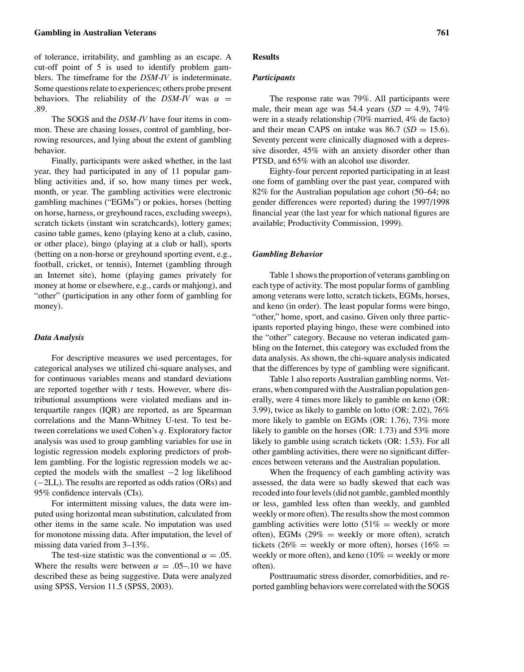of tolerance, irritability, and gambling as an escape. A cut-off point of 5 is used to identify problem gamblers. The timeframe for the *DSM-IV* is indeterminate. Some questions relate to experiences; others probe present behaviors. The reliability of the *DSM-IV* was  $\alpha$  = .89.

The SOGS and the *DSM-IV* have four items in common. These are chasing losses, control of gambling, borrowing resources, and lying about the extent of gambling behavior.

Finally, participants were asked whether, in the last year, they had participated in any of 11 popular gambling activities and, if so, how many times per week, month, or year. The gambling activities were electronic gambling machines ("EGMs") or pokies, horses (betting on horse, harness, or greyhound races, excluding sweeps), scratch tickets (instant win scratchcards), lottery games; casino table games, keno (playing keno at a club, casino, or other place), bingo (playing at a club or hall), sports (betting on a non-horse or greyhound sporting event, e.g., football, cricket, or tennis), Internet (gambling through an Internet site), home (playing games privately for money at home or elsewhere, e.g., cards or mahjong), and "other" (participation in any other form of gambling for money).

### *Data Analysis*

For descriptive measures we used percentages, for categorical analyses we utilized chi-square analyses, and for continuous variables means and standard deviations are reported together with *t* tests. However, where distributional assumptions were violated medians and interquartile ranges (IQR) are reported, as are Spearman correlations and the Mann-Whitney U-test. To test between correlations we used Cohen's *q.* Exploratory factor analysis was used to group gambling variables for use in logistic regression models exploring predictors of problem gambling. For the logistic regression models we accepted the models with the smallest −2 log likelihood (−2LL). The results are reported as odds ratios (ORs) and 95% confidence intervals (CIs).

For intermittent missing values, the data were imputed using horizontal mean substitution, calculated from other items in the same scale. No imputation was used for monotone missing data. After imputation, the level of missing data varied from 3–13%.

The test-size statistic was the conventional  $\alpha = .05$ . Where the results were between  $\alpha = .05-.10$  we have described these as being suggestive. Data were analyzed using SPSS, Version 11.5 (SPSS, 2003).

#### **Results**

### *Participants*

The response rate was 79%. All participants were male, their mean age was 54.4 years  $(SD = 4.9)$ , 74% were in a steady relationship (70% married, 4% de facto) and their mean CAPS on intake was  $86.7$  (*SD* = 15.6). Seventy percent were clinically diagnosed with a depressive disorder, 45% with an anxiety disorder other than PTSD, and 65% with an alcohol use disorder.

Eighty-four percent reported participating in at least one form of gambling over the past year, compared with 82% for the Australian population age cohort (50–64; no gender differences were reported) during the 1997/1998 financial year (the last year for which national figures are available; Productivity Commission, 1999).

#### *Gambling Behavior*

Table 1 shows the proportion of veterans gambling on each type of activity. The most popular forms of gambling among veterans were lotto, scratch tickets, EGMs, horses, and keno (in order). The least popular forms were bingo, "other," home, sport, and casino. Given only three participants reported playing bingo, these were combined into the "other" category. Because no veteran indicated gambling on the Internet, this category was excluded from the data analysis. As shown, the chi-square analysis indicated that the differences by type of gambling were significant.

Table 1 also reports Australian gambling norms. Veterans, when compared with the Australian population generally, were 4 times more likely to gamble on keno (OR: 3.99), twice as likely to gamble on lotto (OR: 2.02), 76% more likely to gamble on EGMs (OR: 1.76), 73% more likely to gamble on the horses (OR: 1.73) and 53% more likely to gamble using scratch tickets (OR: 1.53). For all other gambling activities, there were no significant differences between veterans and the Australian population.

When the frequency of each gambling activity was assessed, the data were so badly skewed that each was recoded into four levels (did not gamble, gambled monthly or less, gambled less often than weekly, and gambled weekly or more often). The results show the most common gambling activities were lotto  $(51\% = \text{weekly or more})$ often), EGMs  $(29\% = \text{ weekly or more often})$ , scratch tickets (26% = weekly or more often), horses (16% = weekly or more often), and keno ( $10\%$  = weekly or more often).

Posttraumatic stress disorder, comorbidities, and reported gambling behaviors were correlated with the SOGS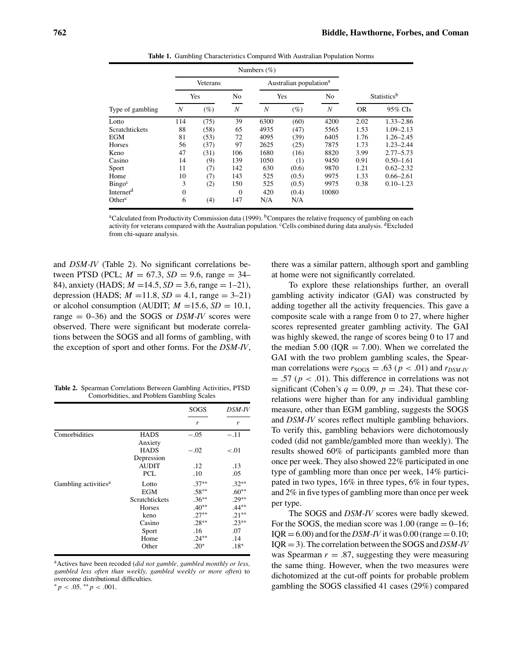|                       | Numbers $(\%)$ |        |                |                                    |        |                  |                         |               |
|-----------------------|----------------|--------|----------------|------------------------------------|--------|------------------|-------------------------|---------------|
|                       | Veterans       |        |                | Australian population <sup>a</sup> |        |                  |                         |               |
|                       | Yes            |        | N <sub>0</sub> | Yes                                |        | N <sub>0</sub>   | Statistics <sup>b</sup> |               |
| Type of gambling      | N              | $(\%)$ | N              | N                                  | $(\%)$ | $\boldsymbol{N}$ | <b>OR</b>               | 95% CIs       |
| Lotto                 | 114            | (75)   | 39             | 6300                               | (60)   | 4200             | 2.02                    | $1.33 - 2.86$ |
| Scratchtickets        | 88             | (58)   | 65             | 4935                               | (47)   | 5565             | 1.53                    | $1.09 - 2.13$ |
| <b>EGM</b>            | 81             | (53)   | 72             | 4095                               | (39)   | 6405             | 1.76                    | $1.26 - 2.45$ |
| Horses                | 56             | (37)   | 97             | 2625                               | (25)   | 7875             | 1.73                    | $1.23 - 2.44$ |
| Keno                  | 47             | (31)   | 106            | 1680                               | (16)   | 8820             | 3.99                    | $2.77 - 5.73$ |
| Casino                | 14             | (9)    | 139            | 1050                               | (1)    | 9450             | 0.91                    | $0.50 - 1.61$ |
| Sport                 | 11             | (7)    | 142            | 630                                | (0.6)  | 9870             | 1.21                    | $0.62 - 2.32$ |
| Home                  | 10             | (7)    | 143            | 525                                | (0.5)  | 9975             | 1.33                    | $0.66 - 2.61$ |
| $Bingo^c$             | 3              | (2)    | 150            | 525                                | (0.5)  | 9975             | 0.38                    | $0.10 - 1.23$ |
| Internet <sup>d</sup> | $\mathbf{0}$   |        | $\Omega$       | 420                                | (0.4)  | 10080            |                         |               |
| Other <sup>c</sup>    | 6              | (4)    | 147            | N/A                                | N/A    |                  |                         |               |

**Table 1.** Gambling Characteristics Compared With Australian Population Norms

<sup>a</sup>Calculated from Productivity Commission data (1999). <sup>b</sup>Compares the relative frequency of gambling on each activity for veterans compared with the Australian population. <sup>c</sup>Cells combined during data analysis. <sup>d</sup>Excluded from chi-square analysis.

and *DSM-IV* (Table 2). No significant correlations between PTSD (PCL;  $M = 67.3$ ,  $SD = 9.6$ , range = 34– 84), anxiety (HADS; *M* =14.5, *SD* = 3.6, range = 1–21), depression (HADS;  $M = 11.8$ ,  $SD = 4.1$ , range = 3–21) or alcohol consumption (AUDIT;  $M = 15.6$ ,  $SD = 10.1$ , range = 0–36) and the SOGS or *DSM-IV* scores were observed. There were significant but moderate correlations between the SOGS and all forms of gambling, with the exception of sport and other forms. For the *DSM-IV*,

**Table 2.** Spearman Correlations Between Gambling Activities, PTSD Comorbidities, and Problem Gambling Scales

|                                  |                | <b>SOGS</b> | DSM-IV   |
|----------------------------------|----------------|-------------|----------|
|                                  |                | r           | r        |
| Comorbidities                    | <b>HADS</b>    | $-.05$      | $-.11$   |
|                                  | Anxiety        |             |          |
|                                  | <b>HADS</b>    | $-.02$      | $-.01$   |
|                                  | Depression     |             |          |
|                                  | <b>AUDIT</b>   | .12         | .13      |
|                                  | <b>PCL</b>     | .10         | .05      |
| Gambling activities <sup>a</sup> | Lotto          | $.37**$     | $.32**$  |
|                                  | EGM            | $.58***$    | $.60**$  |
|                                  | Scratchtickets | $.36***$    | $.29**$  |
|                                  | Horses         | $.40**$     | $.44***$ |
|                                  | keno           | $.27**$     | $.21***$ |
|                                  | Casino         | $.28**$     | $.23**$  |
|                                  | Sport          | .16         | .07      |
|                                  | Home           | $.24**$     | .14      |
|                                  | Other          | $.20*$      | $.18*$   |

aActives have been recoded (*did not gamble, gambled monthly or less, gambled less often than weekly, gambled weekly or more often*) to overcome distributional difficulties.

 ${}^*p < .05.$  \*\* $p < .001.$ 

there was a similar pattern, although sport and gambling at home were not significantly correlated.

To explore these relationships further, an overall gambling activity indicator (GAI) was constructed by adding together all the activity frequencies. This gave a composite scale with a range from 0 to 27, where higher scores represented greater gambling activity. The GAI was highly skewed, the range of scores being 0 to 17 and the median 5.00 ( $IQR = 7.00$ ). When we correlated the GAI with the two problem gambling scales, the Spearman correlations were  $r_{\text{SOGS}} = .63$  ( $p < .01$ ) and  $r_{\text{DSM-IV}}$  $= .57$  ( $p < .01$ ). This difference in correlations was not significant (Cohen's  $q = 0.09$ ,  $p = .24$ ). That these correlations were higher than for any individual gambling measure, other than EGM gambling, suggests the SOGS and *DSM-IV* scores reflect multiple gambling behaviors. To verify this, gambling behaviors were dichotomously coded (did not gamble/gambled more than weekly). The results showed 60% of participants gambled more than once per week. They also showed 22% participated in one type of gambling more than once per week, 14% participated in two types, 16% in three types, 6% in four types, and 2% in five types of gambling more than once per week per type.

The SOGS and *DSM-IV* scores were badly skewed. For the SOGS, the median score was  $1.00$  (range  $= 0-16$ ;  $IQR = 6.00$ ) and for the *DSM-IV* it was 0.00 (range = 0.10; IQR = 3). The correlation between the SOGS and *DSM-IV* was Spearman  $r = .87$ , suggesting they were measuring the same thing. However, when the two measures were dichotomized at the cut-off points for probable problem gambling the SOGS classified 41 cases (29%) compared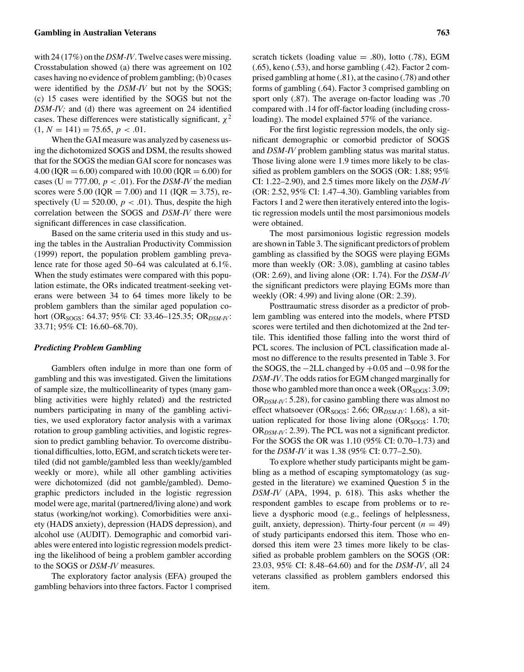with 24 (17%) on the *DSM-IV*. Twelve cases were missing. Crosstabulation showed (a) there was agreement on 102 cases having no evidence of problem gambling; (b) 0 cases were identified by the *DSM-IV* but not by the SOGS; (c) 15 cases were identified by the SOGS but not the *DSM-IV;* and (d) there was agreement on 24 identified cases. These differences were statistically significant,  $\chi^2$  $(1, N = 141) = 75.65, p < .01.$ 

When the GAI measure was analyzed by caseness using the dichotomized SOGS and DSM, the results showed that for the SOGS the median GAI score for noncases was 4.00 ( $IQR = 6.00$ ) compared with 10.00 ( $IQR = 6.00$ ) for cases ( $U = 777.00$ ,  $p < .01$ ). For the *DSM-IV* the median scores were 5.00 (IQR = 7.00) and 11 (IQR = 3.75), respectively ( $U = 520.00$ ,  $p < .01$ ). Thus, despite the high correlation between the SOGS and *DSM-IV* there were significant differences in case classification.

Based on the same criteria used in this study and using the tables in the Australian Productivity Commission (1999) report, the population problem gambling prevalence rate for those aged 50–64 was calculated at 6.1%. When the study estimates were compared with this population estimate, the ORs indicated treatment-seeking veterans were between 34 to 64 times more likely to be problem gamblers than the similar aged population cohort (OR<sub>SOGS</sub>: 64.37; 95% CI: 33.46–125.35; OR<sub>DSM-IV</sub>: 33.71; 95% CI: 16.60–68.70).

## *Predicting Problem Gambling*

Gamblers often indulge in more than one form of gambling and this was investigated. Given the limitations of sample size, the multicollinearity of types (many gambling activities were highly related) and the restricted numbers participating in many of the gambling activities, we used exploratory factor analysis with a varimax rotation to group gambling activities, and logistic regression to predict gambling behavior. To overcome distributional difficulties, lotto, EGM, and scratch tickets were tertiled (did not gamble/gambled less than weekly/gambled weekly or more), while all other gambling activities were dichotomized (did not gamble/gambled). Demographic predictors included in the logistic regression model were age, marital (partnered/living alone) and work status (working/not working). Comorbidities were anxiety (HADS anxiety), depression (HADS depression), and alcohol use (AUDIT). Demographic and comorbid variables were entered into logistic regression models predicting the likelihood of being a problem gambler according to the SOGS or *DSM-IV* measures.

The exploratory factor analysis (EFA) grouped the gambling behaviors into three factors. Factor 1 comprised scratch tickets (loading value  $= .80$ ), lotto (.78), EGM (.65), keno (.53), and horse gambling (.42). Factor 2 comprised gambling at home (.81), at the casino (.78) and other forms of gambling (.64). Factor 3 comprised gambling on sport only (.87). The average on-factor loading was .70 compared with .14 for off-factor loading (including crossloading). The model explained 57% of the variance.

For the first logistic regression models, the only significant demographic or comorbid predictor of SOGS and *DSM-IV* problem gambling status was marital status. Those living alone were 1.9 times more likely to be classified as problem gamblers on the SOGS (OR: 1.88; 95% CI: 1.22–2.90), and 2.5 times more likely on the *DSM-IV* (OR: 2.52, 95% CI: 1.47–4.30). Gambling variables from Factors 1 and 2 were then iteratively entered into the logistic regression models until the most parsimonious models were obtained.

The most parsimonious logistic regression models are shown in Table 3. The significant predictors of problem gambling as classified by the SOGS were playing EGMs more than weekly (OR: 3.08), gambling at casino tables (OR: 2.69), and living alone (OR: 1.74). For the *DSM-IV* the significant predictors were playing EGMs more than weekly (OR: 4.99) and living alone (OR: 2.39).

Posttraumatic stress disorder as a predictor of problem gambling was entered into the models, where PTSD scores were tertiled and then dichotomized at the 2nd tertile. This identified those falling into the worst third of PCL scores. The inclusion of PCL classification made almost no difference to the results presented in Table 3. For the SOGS, the −2LL changed by +0.05 and −0.98 for the *DSM-IV*. The odds ratios for EGM changed marginally for those who gambled more than once a week ( $OR<sub>SOGS</sub>$ : 3.09; OR*DSM-IV*: 5.28), for casino gambling there was almost no effect whatsoever (OR<sub>SOGS</sub>: 2.66; OR<sub>DSM-IV</sub>: 1.68), a situation replicated for those living alone ( $OR<sub>SOGS</sub>$ : 1.70; OR*DSM-IV*: 2.39). The PCL was not a significant predictor. For the SOGS the OR was 1.10 (95% CI: 0.70–1.73) and for the *DSM-IV* it was 1.38 (95% CI: 0.77–2.50).

To explore whether study participants might be gambling as a method of escaping symptomatology (as suggested in the literature) we examined Question 5 in the *DSM-IV* (APA, 1994, p. 618). This asks whether the respondent gambles to escape from problems or to relieve a dysphoric mood (e.g., feelings of helplessness, guilt, anxiety, depression). Thirty-four percent  $(n = 49)$ of study participants endorsed this item. Those who endorsed this item were 23 times more likely to be classified as probable problem gamblers on the SOGS (OR: 23.03, 95% CI: 8.48–64.60) and for the *DSM-IV*, all 24 veterans classified as problem gamblers endorsed this item.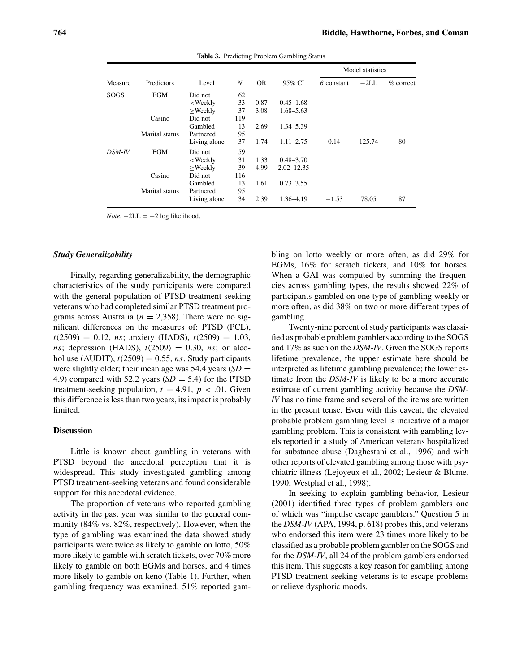|         |                |                                                                                                               |     |      |                | Model statistics |        |             |
|---------|----------------|---------------------------------------------------------------------------------------------------------------|-----|------|----------------|------------------|--------|-------------|
| Measure | Predictors     | Level                                                                                                         | N   | OR.  | 95% CI         | $\beta$ constant | $-2LL$ | $%$ correct |
| SOGS    | <b>EGM</b>     | Did not                                                                                                       | 62  |      |                |                  |        |             |
|         |                | <weekly< td=""><td>33</td><td>0.87</td><td><math>0.45 - 1.68</math></td><td></td><td></td><td></td></weekly<> | 33  | 0.87 | $0.45 - 1.68$  |                  |        |             |
|         |                | $>$ Weekly                                                                                                    | 37  | 3.08 | $1.68 - 5.63$  |                  |        |             |
|         | Casino         | Did not                                                                                                       | 119 |      |                |                  |        |             |
|         |                | Gambled                                                                                                       | 13  | 2.69 | 1.34–5.39      |                  |        |             |
|         | Marital status | Partnered                                                                                                     | 95  |      |                |                  |        |             |
|         |                | Living alone                                                                                                  | 37  | 1.74 | $1.11 - 2.75$  | 0.14             | 125.74 | 80          |
| DSM-IV  | EGM            | Did not                                                                                                       | 59  |      |                |                  |        |             |
|         |                | <weekly< td=""><td>31</td><td>1.33</td><td><math>0.48 - 3.70</math></td><td></td><td></td><td></td></weekly<> | 31  | 1.33 | $0.48 - 3.70$  |                  |        |             |
|         |                | $>$ Weekly                                                                                                    | 39  | 4.99 | $2.02 - 12.35$ |                  |        |             |
|         | Casino         | Did not                                                                                                       | 116 |      |                |                  |        |             |
|         |                | Gambled                                                                                                       | 13  | 1.61 | $0.73 - 3.55$  |                  |        |             |
|         | Marital status | Partnered                                                                                                     | 95  |      |                |                  |        |             |
|         |                | Living alone                                                                                                  | 34  | 2.39 | 1.36-4.19      | $-1.53$          | 78.05  | 87          |

**Table 3.** Predicting Problem Gambling Status

 $Note. -2LL = -2 log likelihood.$ 

#### *Study Generalizability*

Finally, regarding generalizability, the demographic characteristics of the study participants were compared with the general population of PTSD treatment-seeking veterans who had completed similar PTSD treatment programs across Australia ( $n = 2,358$ ). There were no significant differences on the measures of: PTSD (PCL),  $t(2509) = 0.12$ , *ns*; anxiety (HADS),  $t(2509) = 1.03$ , *ns*; depression (HADS),  $t(2509) = 0.30$ , *ns*; or alcohol use (AUDIT),  $t(2509) = 0.55$ , *ns*. Study participants were slightly older; their mean age was  $54.4$  years (*SD* = 4.9) compared with 52.2 years  $(SD = 5.4)$  for the PTSD treatment-seeking population,  $t = 4.91$ ,  $p < .01$ . Given this difference is less than two years, its impact is probably limited.

### **Discussion**

Little is known about gambling in veterans with PTSD beyond the anecdotal perception that it is widespread. This study investigated gambling among PTSD treatment-seeking veterans and found considerable support for this anecdotal evidence.

The proportion of veterans who reported gambling activity in the past year was similar to the general community (84% vs. 82%, respectively). However, when the type of gambling was examined the data showed study participants were twice as likely to gamble on lotto, 50% more likely to gamble with scratch tickets, over 70% more likely to gamble on both EGMs and horses, and 4 times more likely to gamble on keno (Table 1). Further, when gambling frequency was examined, 51% reported gam-

bling on lotto weekly or more often, as did 29% for EGMs, 16% for scratch tickets, and 10% for horses. When a GAI was computed by summing the frequencies across gambling types, the results showed 22% of participants gambled on one type of gambling weekly or more often, as did 38% on two or more different types of gambling.

Twenty-nine percent of study participants was classified as probable problem gamblers according to the SOGS and 17% as such on the *DSM-IV*. Given the SOGS reports lifetime prevalence, the upper estimate here should be interpreted as lifetime gambling prevalence; the lower estimate from the *DSM-IV* is likely to be a more accurate estimate of current gambling activity because the *DSM-IV* has no time frame and several of the items are written in the present tense. Even with this caveat, the elevated probable problem gambling level is indicative of a major gambling problem. This is consistent with gambling levels reported in a study of American veterans hospitalized for substance abuse (Daghestani et al., 1996) and with other reports of elevated gambling among those with psychiatric illness (Lejoyeux et al., 2002; Lesieur & Blume, 1990; Westphal et al., 1998).

In seeking to explain gambling behavior, Lesieur (2001) identified three types of problem gamblers one of which was "impulse escape gamblers." Question 5 in the *DSM-IV* (APA, 1994, p. 618) probes this, and veterans who endorsed this item were 23 times more likely to be classified as a probable problem gambler on the SOGS and for the *DSM-IV*, all 24 of the problem gamblers endorsed this item. This suggests a key reason for gambling among PTSD treatment-seeking veterans is to escape problems or relieve dysphoric moods.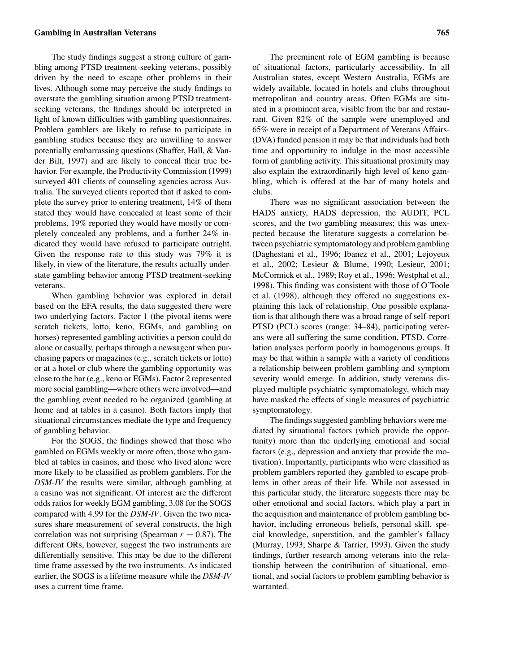## **Gambling in Australian Veterans 765**

The study findings suggest a strong culture of gambling among PTSD treatment-seeking veterans, possibly driven by the need to escape other problems in their lives. Although some may perceive the study findings to overstate the gambling situation among PTSD treatmentseeking veterans, the findings should be interpreted in light of known difficulties with gambling questionnaires. Problem gamblers are likely to refuse to participate in gambling studies because they are unwilling to answer potentially embarrassing questions (Shaffer, Hall, & Vander Bilt, 1997) and are likely to conceal their true behavior. For example, the Productivity Commission (1999) surveyed 401 clients of counseling agencies across Australia. The surveyed clients reported that if asked to complete the survey prior to entering treatment, 14% of them stated they would have concealed at least some of their problems, 19% reported they would have mostly or completely concealed any problems, and a further 24% indicated they would have refused to participate outright. Given the response rate to this study was 79% it is likely, in view of the literature, the results actually understate gambling behavior among PTSD treatment-seeking veterans.

When gambling behavior was explored in detail based on the EFA results, the data suggested there were two underlying factors. Factor 1 (the pivotal items were scratch tickets, lotto, keno, EGMs, and gambling on horses) represented gambling activities a person could do alone or casually, perhaps through a newsagent when purchasing papers or magazines (e.g., scratch tickets or lotto) or at a hotel or club where the gambling opportunity was close to the bar (e.g., keno or EGMs). Factor 2 represented more social gambling—where others were involved—and the gambling event needed to be organized (gambling at home and at tables in a casino). Both factors imply that situational circumstances mediate the type and frequency of gambling behavior.

For the SOGS, the findings showed that those who gambled on EGMs weekly or more often, those who gambled at tables in casinos, and those who lived alone were more likely to be classified as problem gamblers. For the *DSM-IV* the results were similar, although gambling at a casino was not significant. Of interest are the different odds ratios for weekly EGM gambling, 3.08 for the SOGS compared with 4.99 for the *DSM-IV*. Given the two measures share measurement of several constructs, the high correlation was not surprising (Spearman  $r = 0.87$ ). The different ORs, however, suggest the two instruments are differentially sensitive. This may be due to the different time frame assessed by the two instruments. As indicated earlier, the SOGS is a lifetime measure while the *DSM-IV* uses a current time frame.

The preeminent role of EGM gambling is because of situational factors, particularly accessibility. In all Australian states, except Western Australia, EGMs are widely available, located in hotels and clubs throughout metropolitan and country areas. Often EGMs are situated in a prominent area, visible from the bar and restaurant. Given 82% of the sample were unemployed and 65% were in receipt of a Department of Veterans Affairs- (DVA) funded pension it may be that individuals had both time and opportunity to indulge in the most accessible form of gambling activity. This situational proximity may also explain the extraordinarily high level of keno gambling, which is offered at the bar of many hotels and clubs.

There was no significant association between the HADS anxiety, HADS depression, the AUDIT, PCL scores, and the two gambling measures; this was unexpected because the literature suggests a correlation between psychiatric symptomatology and problem gambling (Daghestani et al., 1996; Ibanez et al., 2001; Lejoyeux et al., 2002; Lesieur & Blume, 1990; Lesieur, 2001; McCormick et al., 1989; Roy et al., 1996; Westphal et al., 1998). This finding was consistent with those of O'Toole et al. (1998), although they offered no suggestions explaining this lack of relationship. One possible explanation is that although there was a broad range of self-report PTSD (PCL) scores (range: 34–84), participating veterans were all suffering the same condition, PTSD. Correlation analyses perform poorly in homogenous groups. It may be that within a sample with a variety of conditions a relationship between problem gambling and symptom severity would emerge. In addition, study veterans displayed multiple psychiatric symptomatology, which may have masked the effects of single measures of psychiatric symptomatology.

The findings suggested gambling behaviors were mediated by situational factors (which provide the opportunity) more than the underlying emotional and social factors (e.g., depression and anxiety that provide the motivation). Importantly, participants who were classified as problem gamblers reported they gambled to escape problems in other areas of their life. While not assessed in this particular study, the literature suggests there may be other emotional and social factors, which play a part in the acquisition and maintenance of problem gambling behavior, including erroneous beliefs, personal skill, special knowledge, superstition, and the gambler's fallacy (Murray, 1993; Sharpe & Tarrier, 1993). Given the study findings, further research among veterans into the relationship between the contribution of situational, emotional, and social factors to problem gambling behavior is warranted.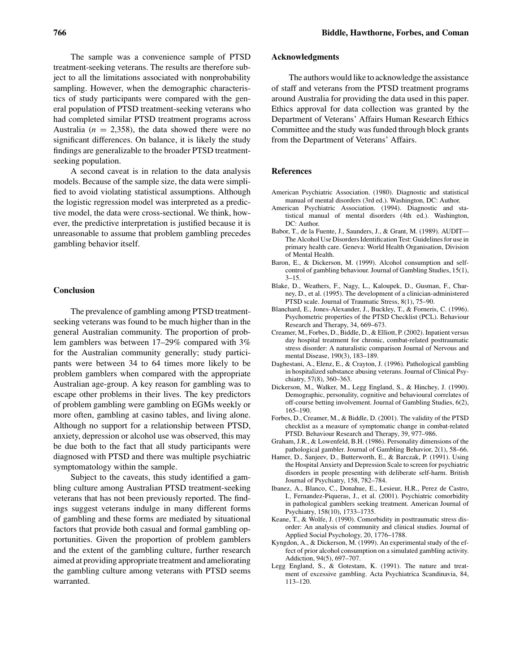The sample was a convenience sample of PTSD treatment-seeking veterans. The results are therefore subject to all the limitations associated with nonprobability sampling. However, when the demographic characteristics of study participants were compared with the general population of PTSD treatment-seeking veterans who had completed similar PTSD treatment programs across Australia ( $n = 2,358$ ), the data showed there were no significant differences. On balance, it is likely the study findings are generalizable to the broader PTSD treatmentseeking population.

A second caveat is in relation to the data analysis models. Because of the sample size, the data were simplified to avoid violating statistical assumptions. Although the logistic regression model was interpreted as a predictive model, the data were cross-sectional. We think, however, the predictive interpretation is justified because it is unreasonable to assume that problem gambling precedes gambling behavior itself.

#### **Conclusion**

The prevalence of gambling among PTSD treatmentseeking veterans was found to be much higher than in the general Australian community. The proportion of problem gamblers was between 17–29% compared with 3% for the Australian community generally; study participants were between 34 to 64 times more likely to be problem gamblers when compared with the appropriate Australian age-group. A key reason for gambling was to escape other problems in their lives. The key predictors of problem gambling were gambling on EGMs weekly or more often, gambling at casino tables, and living alone. Although no support for a relationship between PTSD, anxiety, depression or alcohol use was observed, this may be due both to the fact that all study participants were diagnosed with PTSD and there was multiple psychiatric symptomatology within the sample.

Subject to the caveats, this study identified a gambling culture among Australian PTSD treatment-seeking veterans that has not been previously reported. The findings suggest veterans indulge in many different forms of gambling and these forms are mediated by situational factors that provide both casual and formal gambling opportunities. Given the proportion of problem gamblers and the extent of the gambling culture, further research aimed at providing appropriate treatment and ameliorating the gambling culture among veterans with PTSD seems warranted.

## **Acknowledgments**

The authors would like to acknowledge the assistance of staff and veterans from the PTSD treatment programs around Australia for providing the data used in this paper. Ethics approval for data collection was granted by the Department of Veterans' Affairs Human Research Ethics Committee and the study was funded through block grants from the Department of Veterans' Affairs.

#### **References**

- American Psychiatric Association. (1980). Diagnostic and statistical manual of mental disorders (3rd ed.). Washington, DC: Author.
- American Psychiatric Association. (1994). Diagnostic and statistical manual of mental disorders (4th ed.). Washington, DC: Author.
- Babor, T., de la Fuente, J., Saunders, J., & Grant, M. (1989). AUDIT— The Alcohol Use Disorders Identification Test: Guidelines for use in primary health care. Geneva: World Health Organisation, Division of Mental Health.
- Baron, E., & Dickerson, M. (1999). Alcohol consumption and selfcontrol of gambling behaviour. Journal of Gambling Studies, 15(1),  $3 - 15$ .
- Blake, D., Weathers, F., Nagy, L., Kaloupek, D., Gusman, F., Charney, D., et al. (1995). The development of a clinician-administered PTSD scale. Journal of Traumatic Stress, 8(1), 75–90.
- Blanchard, E., Jones-Alexander, J., Buckley, T., & Forneris, C. (1996). Psychometric properties of the PTSD Checklist (PCL). Behaviour Research and Therapy, 34, 669–673.
- Creamer, M., Forbes, D., Biddle, D., & Elliott, P. (2002). Inpatient versus day hospital treatment for chronic, combat-related posttraumatic stress disorder: A naturalistic comparison Journal of Nervous and mental Disease, 190(3), 183–189.
- Daghestani, A., Elenz, E., & Crayton, J. (1996). Pathological gambling in hospitalized substance abusing veterans. Journal of Clinical Psychiatry, 57(8), 360–363.
- Dickerson, M., Walker, M., Legg England, S., & Hinchey, J. (1990). Demographic, personality, cognitive and behavioural correlates of off-course betting involvement. Journal of Gambling Studies, 6(2), 165–190.
- Forbes, D., Creamer, M., & Biddle, D. (2001). The validity of the PTSD checklist as a measure of symptomatic change in combat-related PTSD. Behaviour Research and Therapy, 39, 977–986.
- Graham, J.R., & Lowenfeld, B.H. (1986). Personality dimensions of the pathological gambler. Journal of Gambling Behavior, 2(1), 58–66.
- Hamer, D., Sanjeev, D., Butterworth, E., & Barczak, P. (1991). Using the Hospital Anxiety and Depression Scale to screen for psychiatric disorders in people presenting with deliberate self-harm. British Journal of Psychiatry, 158, 782–784.
- Ibanez, A., Blanco, C., Donahue, E., Lesieur, H.R., Perez de Castro, I., Fernandez-Piqueras, J., et al. (2001). Psychiatric comorbidity in pathological gamblers seeking treatment. American Journal of Psychiatry, 158(10), 1733–1735.
- Keane, T., & Wolfe, J. (1990). Comorbidity in posttraumatic stress disorder: An analysis of community and clinical studies. Journal of Applied Social Psychology, 20, 1776–1788.
- Kyngdon, A., & Dickerson, M. (1999). An experimental study of the effect of prior alcohol consumption on a simulated gambling activity. Addiction, 94(5), 697–707.
- Legg England, S., & Gotestam, K. (1991). The nature and treatment of excessive gambling. Acta Psychiatrica Scandinavia, 84, 113–120.